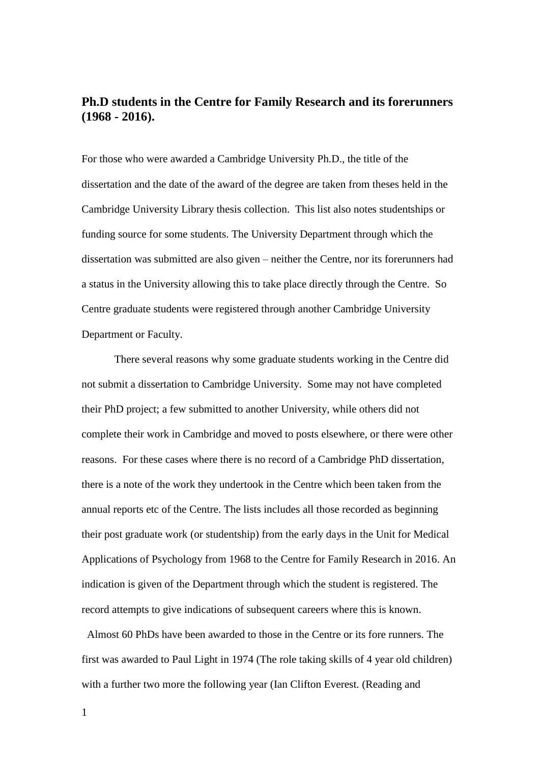## **Ph.D students in the Centre for Family Research and its forerunners (1968 - 2016).**

For those who were awarded a Cambridge University Ph.D., the title of the dissertation and the date of the award of the degree are taken from theses held in the Cambridge University Library thesis collection. This list also notes studentships or funding source for some students. The University Department through which the dissertation was submitted are also given – neither the Centre, nor its forerunners had a status in the University allowing this to take place directly through the Centre. So Centre graduate students were registered through another Cambridge University Department or Faculty.

There several reasons why some graduate students working in the Centre did not submit a dissertation to Cambridge University. Some may not have completed their PhD project; a few submitted to another University, while others did not complete their work in Cambridge and moved to posts elsewhere, or there were other reasons. For these cases where there is no record of a Cambridge PhD dissertation, there is a note of the work they undertook in the Centre which been taken from the annual reports etc of the Centre. The lists includes all those recorded as beginning their post graduate work (or studentship) from the early days in the Unit for Medical Applications of Psychology from 1968 to the Centre for Family Research in 2016. An indication is given of the Department through which the student is registered. The record attempts to give indications of subsequent careers where this is known.

 Almost 60 PhDs have been awarded to those in the Centre or its fore runners. The first was awarded to Paul Light in 1974 (The role taking skills of 4 year old children) with a further two more the following year (Ian Clifton Everest. (Reading and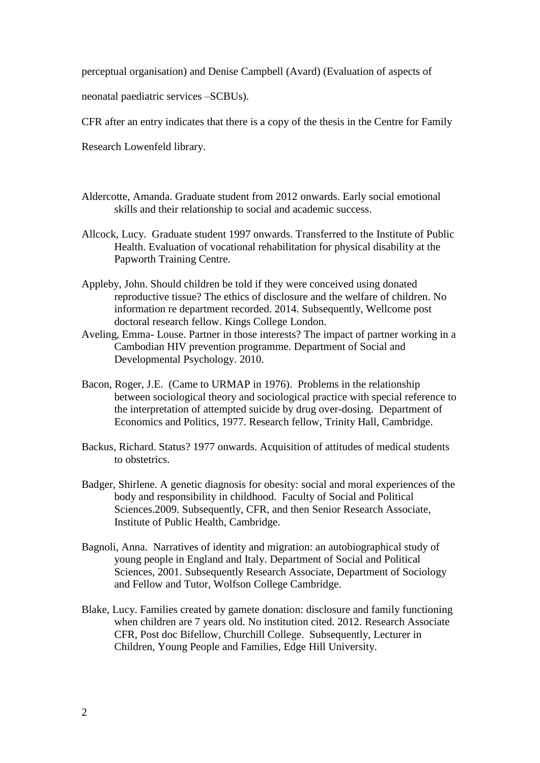perceptual organisation) and Denise Campbell (Avard) (Evaluation of aspects of

neonatal paediatric services –SCBUs).

CFR after an entry indicates that there is a copy of the thesis in the Centre for Family

Research Lowenfeld library.

- Aldercotte, Amanda. Graduate student from 2012 onwards. Early social emotional skills and their relationship to social and academic success.
- Allcock, Lucy. Graduate student 1997 onwards. Transferred to the Institute of Public Health. Evaluation of vocational rehabilitation for physical disability at the Papworth Training Centre.
- Appleby, John. Should children be told if they were conceived using donated reproductive tissue? The ethics of disclosure and the welfare of children. No information re department recorded. 2014. Subsequently, Wellcome post doctoral research fellow. Kings College London.
- Aveling, Emma- Louse. Partner in those interests? The impact of partner working in a Cambodian HIV prevention programme. Department of Social and Developmental Psychology. 2010.
- Bacon, Roger, J.E. (Came to URMAP in 1976). Problems in the relationship between sociological theory and sociological practice with special reference to the interpretation of attempted suicide by drug over-dosing. Department of Economics and Politics, 1977. Research fellow, Trinity Hall, Cambridge.
- Backus, Richard. Status? 1977 onwards. Acquisition of attitudes of medical students to obstetrics.
- Badger, Shirlene. A genetic diagnosis for obesity: social and moral experiences of the body and responsibility in childhood. Faculty of Social and Political Sciences.2009. Subsequently, CFR, and then Senior Research Associate, Institute of Public Health, Cambridge.
- Bagnoli, Anna. Narratives of identity and migration: an autobiographical study of young people in England and Italy. Department of Social and Political Sciences, 2001. Subsequently Research Associate, Department of Sociology and Fellow and Tutor, Wolfson College Cambridge.
- Blake, Lucy. Families created by gamete donation: disclosure and family functioning when children are 7 years old. No institution cited. 2012. Research Associate CFR, Post doc Bifellow, Churchill College. Subsequently, Lecturer in Children, Young People and Families, Edge Hill University.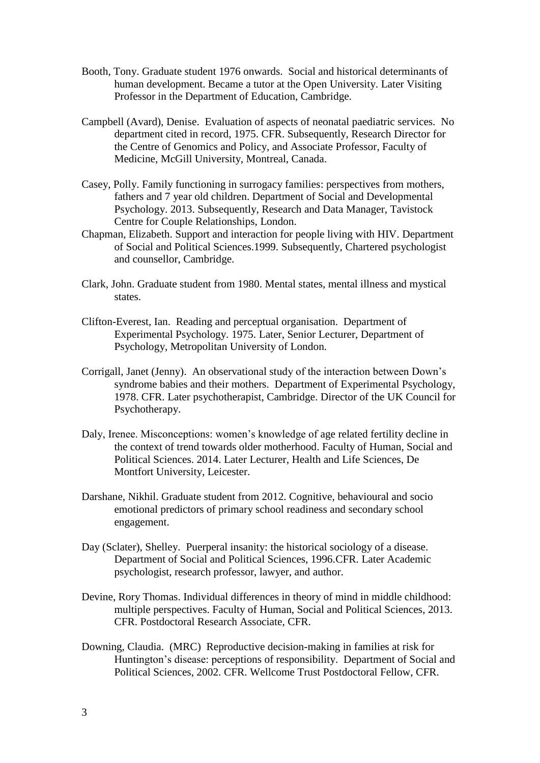- Booth, Tony. Graduate student 1976 onwards. Social and historical determinants of human development. Became a tutor at the Open University. Later Visiting Professor in the Department of Education, Cambridge.
- Campbell (Avard), Denise. Evaluation of aspects of neonatal paediatric services. No department cited in record, 1975. CFR. Subsequently, Research Director for the Centre of Genomics and Policy, and Associate Professor, Faculty of Medicine, McGill University, Montreal, Canada.
- Casey, Polly. Family functioning in surrogacy families: perspectives from mothers, fathers and 7 year old children. Department of Social and Developmental Psychology. 2013. Subsequently, Research and Data Manager, Tavistock Centre for Couple Relationships, London.
- Chapman, Elizabeth. Support and interaction for people living with HIV. Department of Social and Political Sciences.1999. Subsequently, Chartered psychologist and counsellor, Cambridge.
- Clark, John. Graduate student from 1980. Mental states, mental illness and mystical states.
- Clifton-Everest, Ian. Reading and perceptual organisation. Department of Experimental Psychology. 1975. Later, Senior Lecturer, Department of Psychology, Metropolitan University of London.
- Corrigall, Janet (Jenny). An observational study of the interaction between Down's syndrome babies and their mothers. Department of Experimental Psychology, 1978. CFR. Later psychotherapist, Cambridge. Director of the UK Council for Psychotherapy.
- Daly, Irenee. Misconceptions: women's knowledge of age related fertility decline in the context of trend towards older motherhood. Faculty of Human, Social and Political Sciences. 2014. Later Lecturer, Health and Life Sciences, De Montfort University, Leicester.
- Darshane, Nikhil. Graduate student from 2012. Cognitive, behavioural and socio emotional predictors of primary school readiness and secondary school engagement.
- Day (Sclater), Shelley. Puerperal insanity: the historical sociology of a disease. Department of Social and Political Sciences, 1996.CFR. Later Academic psychologist, research professor, lawyer, and author.
- Devine, Rory Thomas. Individual differences in theory of mind in middle childhood: multiple perspectives. Faculty of Human, Social and Political Sciences, 2013. CFR. Postdoctoral Research Associate, CFR.
- Downing, Claudia. (MRC) Reproductive decision-making in families at risk for Huntington's disease: perceptions of responsibility. Department of Social and Political Sciences, 2002. CFR. Wellcome Trust Postdoctoral Fellow, CFR.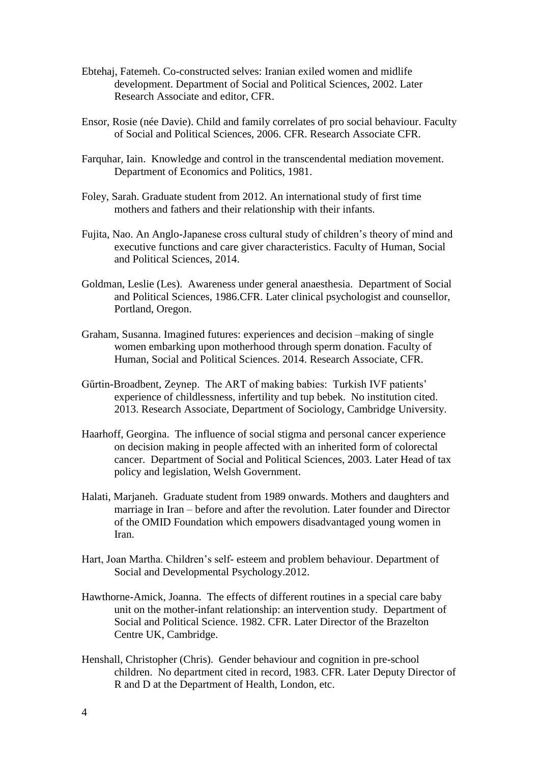- Ebtehaj, Fatemeh. Co-constructed selves: Iranian exiled women and midlife development. Department of Social and Political Sciences, 2002. Later Research Associate and editor, CFR.
- Ensor, Rosie (née Davie). Child and family correlates of pro social behaviour. Faculty of Social and Political Sciences, 2006. CFR. Research Associate CFR.
- Farquhar, Iain. Knowledge and control in the transcendental mediation movement. Department of Economics and Politics, 1981.
- Foley, Sarah. Graduate student from 2012. An international study of first time mothers and fathers and their relationship with their infants.
- Fujita, Nao. An Anglo-Japanese cross cultural study of children's theory of mind and executive functions and care giver characteristics. Faculty of Human, Social and Political Sciences, 2014.
- Goldman, Leslie (Les). Awareness under general anaesthesia. Department of Social and Political Sciences, 1986.CFR. Later clinical psychologist and counsellor, Portland, Oregon.
- Graham, Susanna. Imagined futures: experiences and decision –making of single women embarking upon motherhood through sperm donation. Faculty of Human, Social and Political Sciences. 2014. Research Associate, CFR.
- Gűrtin-Broadbent, Zeynep. The ART of making babies: Turkish IVF patients' experience of childlessness, infertility and tup bebek. No institution cited. 2013. Research Associate, Department of Sociology, Cambridge University.
- Haarhoff, Georgina. The influence of social stigma and personal cancer experience on decision making in people affected with an inherited form of colorectal cancer. Department of Social and Political Sciences, 2003. Later Head of tax policy and legislation, Welsh Government.
- Halati, Marjaneh. Graduate student from 1989 onwards. Mothers and daughters and marriage in Iran – before and after the revolution. Later founder and Director of the OMID Foundation which empowers disadvantaged young women in Iran.
- Hart, Joan Martha. Children's self- esteem and problem behaviour. Department of Social and Developmental Psychology.2012.
- Hawthorne-Amick, Joanna. The effects of different routines in a special care baby unit on the mother-infant relationship: an intervention study. Department of Social and Political Science. 1982. CFR. Later Director of the Brazelton Centre UK, Cambridge.
- Henshall, Christopher (Chris). Gender behaviour and cognition in pre-school children. No department cited in record, 1983. CFR. Later Deputy Director of R and D at the Department of Health, London, etc.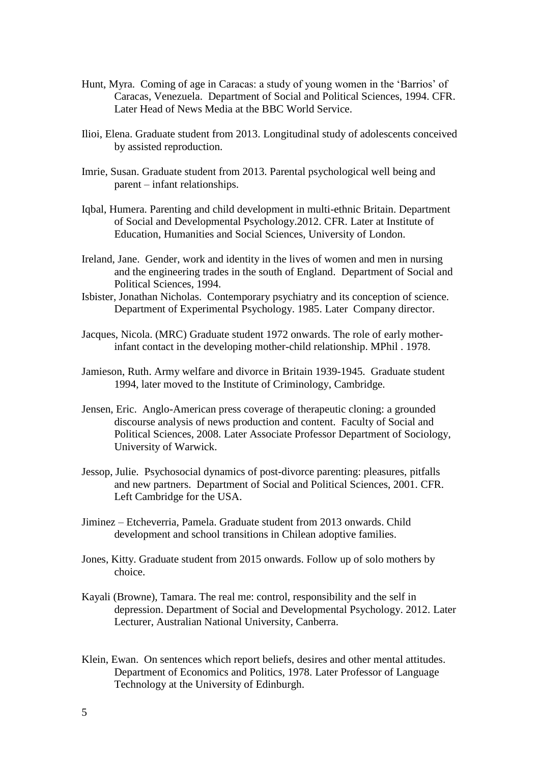- Hunt, Myra. Coming of age in Caracas: a study of young women in the 'Barrios' of Caracas, Venezuela. Department of Social and Political Sciences, 1994. CFR. Later Head of News Media at the BBC World Service.
- Ilioi, Elena. Graduate student from 2013. Longitudinal study of adolescents conceived by assisted reproduction.
- Imrie, Susan. Graduate student from 2013. Parental psychological well being and parent – infant relationships.
- Iqbal, Humera. Parenting and child development in multi-ethnic Britain. Department of Social and Developmental Psychology.2012. CFR. Later at Institute of Education, Humanities and Social Sciences, University of London.
- Ireland, Jane. Gender, work and identity in the lives of women and men in nursing and the engineering trades in the south of England. Department of Social and Political Sciences, 1994.
- Isbister, Jonathan Nicholas. Contemporary psychiatry and its conception of science. Department of Experimental Psychology. 1985. Later Company director.
- Jacques, Nicola. (MRC) Graduate student 1972 onwards. The role of early motherinfant contact in the developing mother-child relationship. MPhil . 1978.
- Jamieson, Ruth. Army welfare and divorce in Britain 1939-1945. Graduate student 1994, later moved to the Institute of Criminology, Cambridge.
- Jensen, Eric. Anglo-American press coverage of therapeutic cloning: a grounded discourse analysis of news production and content. Faculty of Social and Political Sciences, 2008. Later Associate Professor Department of Sociology, University of Warwick.
- Jessop, Julie. Psychosocial dynamics of post-divorce parenting: pleasures, pitfalls and new partners. Department of Social and Political Sciences, 2001. CFR. Left Cambridge for the USA.
- Jiminez Etcheverria, Pamela. Graduate student from 2013 onwards. Child development and school transitions in Chilean adoptive families.
- Jones, Kitty. Graduate student from 2015 onwards. Follow up of solo mothers by choice.
- Kayali (Browne), Tamara. The real me: control, responsibility and the self in depression. Department of Social and Developmental Psychology. 2012. Later Lecturer, Australian National University, Canberra.
- Klein, Ewan. On sentences which report beliefs, desires and other mental attitudes. Department of Economics and Politics, 1978. Later Professor of Language Technology at the University of Edinburgh.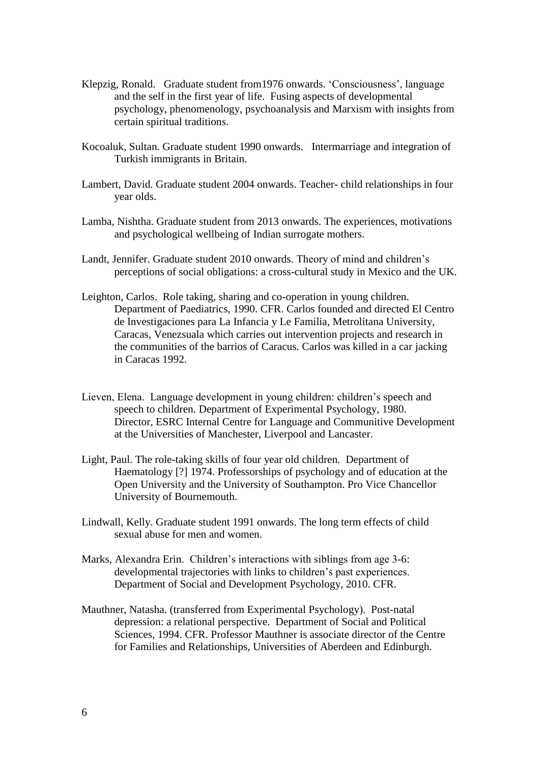- Klepzig, Ronald. Graduate student from1976 onwards. 'Consciousness', language and the self in the first year of life. Fusing aspects of developmental psychology, phenomenology, psychoanalysis and Marxism with insights from certain spiritual traditions.
- Kocoaluk, Sultan. Graduate student 1990 onwards. Intermarriage and integration of Turkish immigrants in Britain.
- Lambert, David. Graduate student 2004 onwards. Teacher- child relationships in four year olds.
- Lamba, Nishtha. Graduate student from 2013 onwards. The experiences, motivations and psychological wellbeing of Indian surrogate mothers.
- Landt, Jennifer. Graduate student 2010 onwards. Theory of mind and children's perceptions of social obligations: a cross-cultural study in Mexico and the UK.
- Leighton, Carlos. Role taking, sharing and co-operation in young children. Department of Paediatrics, 1990. CFR. Carlos founded and directed El Centro de Investigaciones para La Infancia y Le Familia, Metrolitana University, Caracas, Venezsuala which carries out intervention projects and research in the communities of the barrios of Caracus. Carlos was killed in a car jacking in Caracas 1992.
- Lieven, Elena. Language development in young children: children's speech and speech to children. Department of Experimental Psychology, 1980. Director, ESRC Internal Centre for Language and Communitive Development at the Universities of Manchester, Liverpool and Lancaster.
- Light, Paul. The role-taking skills of four year old children. Department of Haematology [?] 1974. Professorships of psychology and of education at the Open University and the University of Southampton. Pro Vice Chancellor University of Bournemouth.
- Lindwall, Kelly. Graduate student 1991 onwards. The long term effects of child sexual abuse for men and women.
- Marks, Alexandra Erin. Children's interactions with siblings from age 3-6: developmental trajectories with links to children's past experiences. Department of Social and Development Psychology, 2010. CFR.
- Mauthner, Natasha. (transferred from Experimental Psychology). Post-natal depression: a relational perspective. Department of Social and Political Sciences, 1994. CFR. Professor Mauthner is associate director of the Centre for Families and Relationships, Universities of Aberdeen and Edinburgh.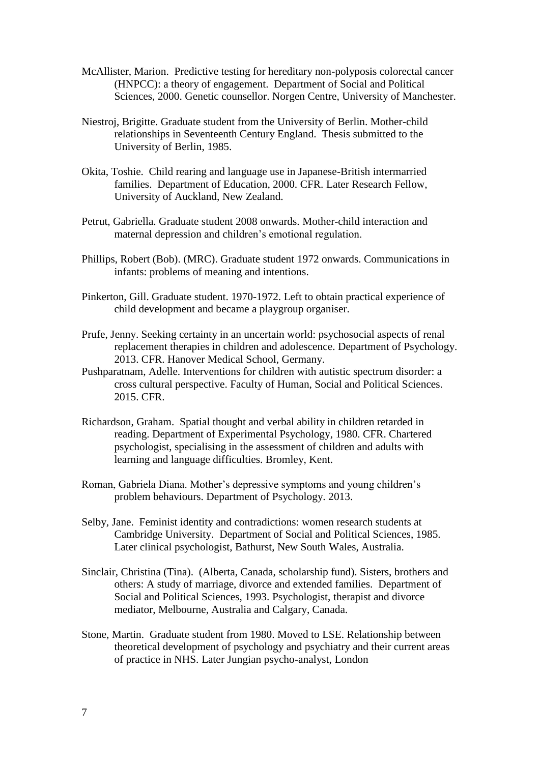- McAllister, Marion. Predictive testing for hereditary non-polyposis colorectal cancer (HNPCC): a theory of engagement. Department of Social and Political Sciences, 2000. Genetic counsellor. Norgen Centre, University of Manchester.
- Niestroj, Brigitte. Graduate student from the University of Berlin. Mother-child relationships in Seventeenth Century England. Thesis submitted to the University of Berlin, 1985.
- Okita, Toshie. Child rearing and language use in Japanese-British intermarried families. Department of Education, 2000. CFR. Later Research Fellow, University of Auckland, New Zealand.
- Petrut, Gabriella. Graduate student 2008 onwards. Mother-child interaction and maternal depression and children's emotional regulation.
- Phillips, Robert (Bob). (MRC). Graduate student 1972 onwards. Communications in infants: problems of meaning and intentions.
- Pinkerton, Gill. Graduate student. 1970-1972. Left to obtain practical experience of child development and became a playgroup organiser.
- Prufe, Jenny. Seeking certainty in an uncertain world: psychosocial aspects of renal replacement therapies in children and adolescence. Department of Psychology. 2013. CFR. Hanover Medical School, Germany.
- Pushparatnam, Adelle. Interventions for children with autistic spectrum disorder: a cross cultural perspective. Faculty of Human, Social and Political Sciences. 2015. CFR.
- Richardson, Graham. Spatial thought and verbal ability in children retarded in reading. Department of Experimental Psychology, 1980. CFR. Chartered psychologist, specialising in the assessment of children and adults with learning and language difficulties. Bromley, Kent.
- Roman, Gabriela Diana. Mother's depressive symptoms and young children's problem behaviours. Department of Psychology. 2013.
- Selby, Jane. Feminist identity and contradictions: women research students at Cambridge University. Department of Social and Political Sciences, 1985. Later clinical psychologist, Bathurst, New South Wales, Australia.
- Sinclair, Christina (Tina). (Alberta, Canada, scholarship fund). Sisters, brothers and others: A study of marriage, divorce and extended families. Department of Social and Political Sciences, 1993. Psychologist, therapist and divorce mediator, Melbourne, Australia and Calgary, Canada.
- Stone, Martin. Graduate student from 1980. Moved to LSE. Relationship between theoretical development of psychology and psychiatry and their current areas of practice in NHS. Later Jungian psycho-analyst, London